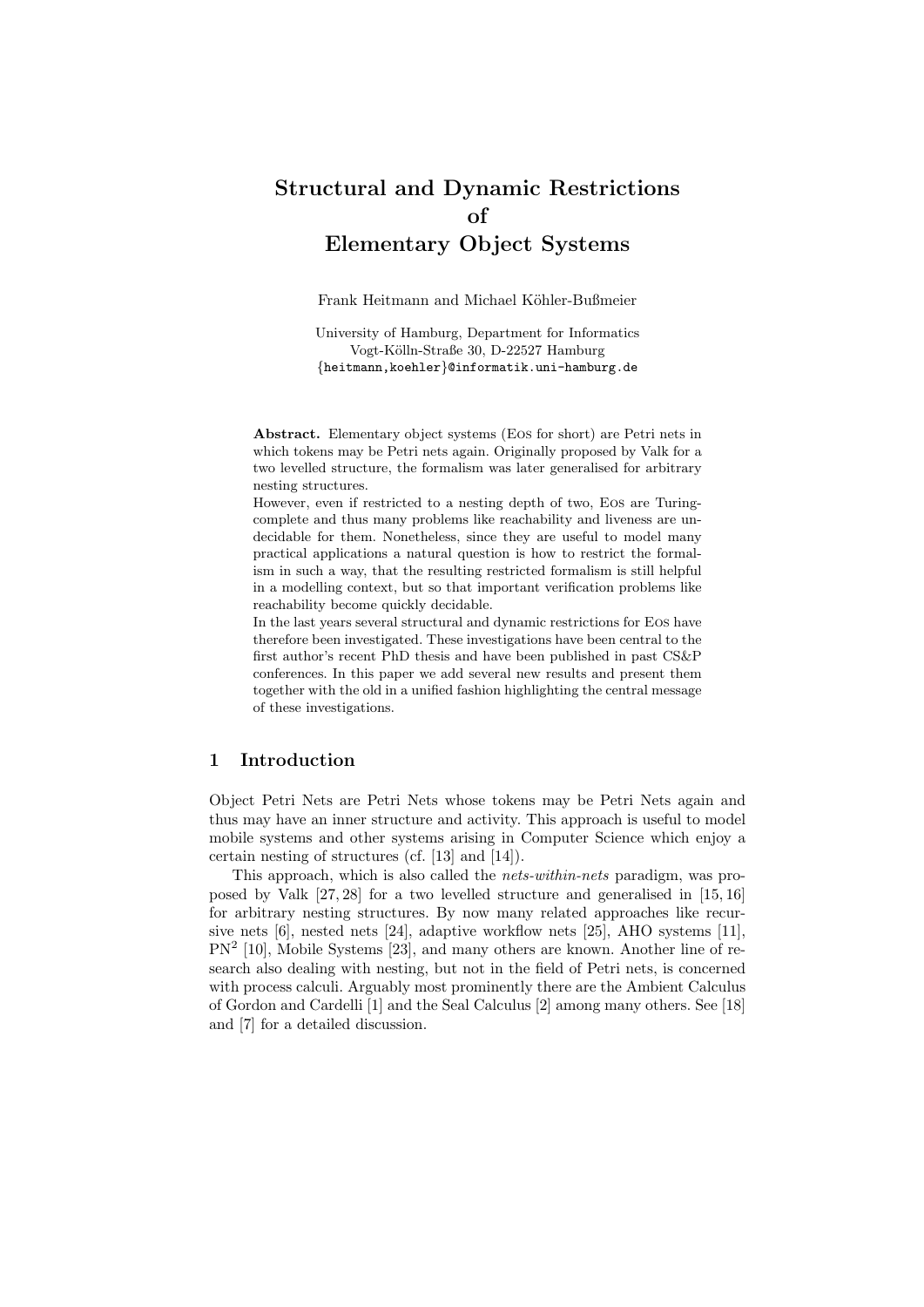# **Structural and Dynamic Restrictions of Elementary Object Systems**

Frank Heitmann and Michael Köhler-Bußmeier

University of Hamburg, Department for Informatics Vogt-Kölln-Straße 30, D-22527 Hamburg *{*heitmann,koehler*}*@informatik.uni-hamburg.de

**Abstract.** Elementary object systems (Eos for short) are Petri nets in which tokens may be Petri nets again. Originally proposed by Valk for a two levelled structure, the formalism was later generalised for arbitrary nesting structures.

However, even if restricted to a nesting depth of two, Eos are Turingcomplete and thus many problems like reachability and liveness are undecidable for them. Nonetheless, since they are useful to model many practical applications a natural question is how to restrict the formalism in such a way, that the resulting restricted formalism is still helpful in a modelling context, but so that important verification problems like reachability become quickly decidable.

In the last years several structural and dynamic restrictions for Eos have therefore been investigated. These investigations have been central to the first author's recent PhD thesis and have been published in past CS&P conferences. In this paper we add several new results and present them together with the old in a unified fashion highlighting the central message of these investigations.

## **1 Introduction**

Object Petri Nets are Petri Nets whose tokens may be Petri Nets again and thus may have an inner structure and activity. This approach is useful to model mobile systems and other systems arising in Computer Science which enjoy a certain nesting of structures (cf. [13] and [14]).

This approach, which is also called the *nets-within-nets* paradigm, was proposed by Valk [27, 28] for a two levelled structure and generalised in [15, 16] for arbitrary nesting structures. By now many related approaches like recursive nets [6], nested nets [24], adaptive workflow nets [25], AHO systems [11], PN<sup>2</sup> [10], Mobile Systems [23], and many others are known. Another line of research also dealing with nesting, but not in the field of Petri nets, is concerned with process calculi. Arguably most prominently there are the Ambient Calculus of Gordon and Cardelli [1] and the Seal Calculus [2] among many others. See [18] and [7] for a detailed discussion.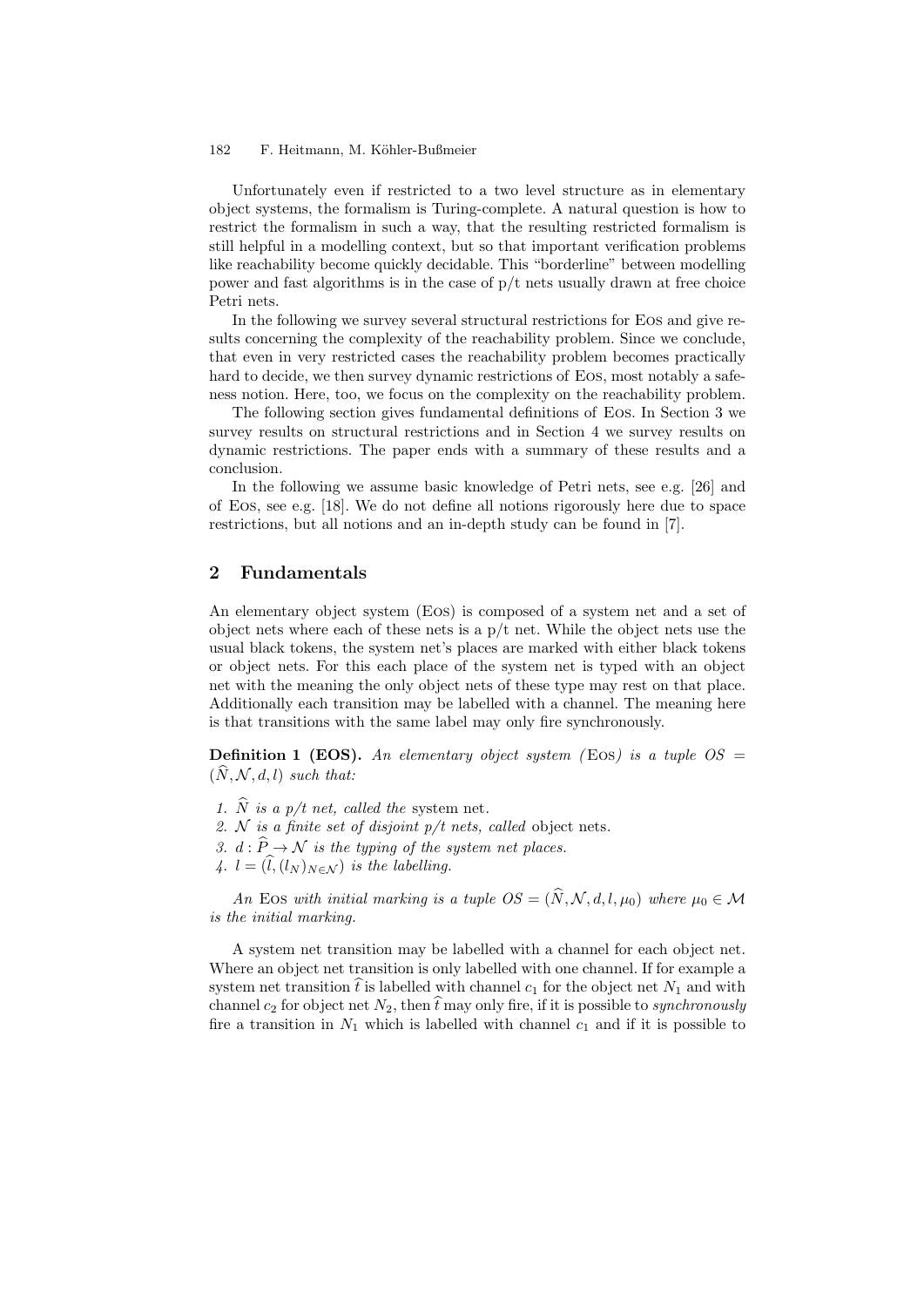Unfortunately even if restricted to a two level structure as in elementary object systems, the formalism is Turing-complete. A natural question is how to restrict the formalism in such a way, that the resulting restricted formalism is still helpful in a modelling context, but so that important verification problems like reachability become quickly decidable. This "borderline" between modelling power and fast algorithms is in the case of  $p/t$  nets usually drawn at free choice Petri nets.

In the following we survey several structural restrictions for Eos and give results concerning the complexity of the reachability problem. Since we conclude, that even in very restricted cases the reachability problem becomes practically hard to decide, we then survey dynamic restrictions of Eos, most notably a safeness notion. Here, too, we focus on the complexity on the reachability problem.

The following section gives fundamental definitions of Eos. In Section 3 we survey results on structural restrictions and in Section 4 we survey results on dynamic restrictions. The paper ends with a summary of these results and a conclusion.

In the following we assume basic knowledge of Petri nets, see e.g. [26] and of Eos, see e.g. [18]. We do not define all notions rigorously here due to space restrictions, but all notions and an in-depth study can be found in [7].

## **2 Fundamentals**

An elementary object system (Eos) is composed of a system net and a set of object nets where each of these nets is a  $p/t$  net. While the object nets use the usual black tokens, the system net's places are marked with either black tokens or object nets. For this each place of the system net is typed with an object net with the meaning the only object nets of these type may rest on that place. Additionally each transition may be labelled with a channel. The meaning here is that transitions with the same label may only fire synchronously.

**Definition 1 (EOS).** An elementary object system (EOS) is a tuple  $OS =$  $(\hat{N}, \mathcal{N}, d, l)$  *such that:* 

- *1.*  $\widehat{N}$  *is a p/t net, called the system net.*
- *2. N is a finite set of disjoint p/t nets, called* object nets*.*
- *3.*  $d : \hat{P} \to \mathcal{N}$  *is the typing of the system net places.*
- *4.*  $l = (\hat{l}, (l_N)_{N \in \mathcal{N}})$  *is the labelling.*

*An* Eos with initial marking is a tuple  $OS = (\hat{N}, \mathcal{N}, d, l, \mu_0)$  where  $\mu_0 \in \mathcal{M}$ *is the initial marking.*

A system net transition may be labelled with a channel for each object net. Where an object net transition is only labelled with one channel. If for example a system net transition  $\hat{t}$  is labelled with channel  $c_1$  for the object net  $N_1$  and with channel  $c_2$  for object net  $N_2$ , then  $\hat{t}$  may only fire, if it is possible to *synchronously* fire a transition in  $N_1$  which is labelled with channel  $c_1$  and if it is possible to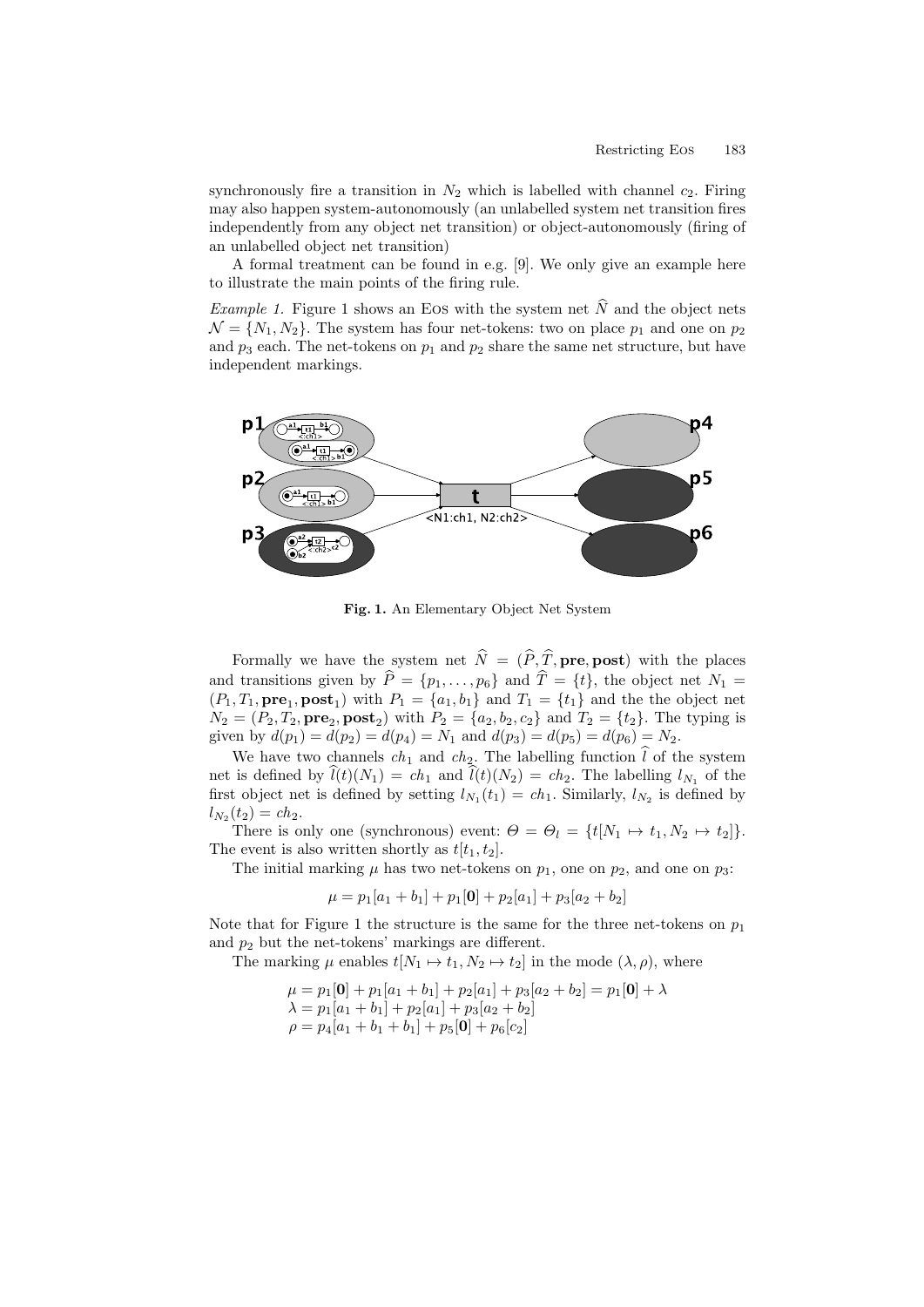synchronously fire a transition in  $N_2$  which is labelled with channel  $c_2$ . Firing may also happen system-autonomously (an unlabelled system net transition fires independently from any object net transition) or object-autonomously (firing of an unlabelled object net transition)

A formal treatment can be found in e.g. [9]. We only give an example here to illustrate the main points of the firing rule.

*Example 1.* Figure 1 shows an EOS with the system net  $\dot{N}$  and the object nets  $\mathcal{N} = \{N_1, N_2\}$ . The system has four net-tokens: two on place  $p_1$  and one on  $p_2$ and  $p_3$  each. The net-tokens on  $p_1$  and  $p_2$  share the same net structure, but have independent markings.



**Fig. 1.** An Elementary Object Net System

Formally we have the system net  $\hat{N} = (\hat{P}, \hat{T}, \textbf{pre}, \textbf{post})$  with the places and transitions given by  $\hat{P} = \{p_1, \ldots, p_6\}$  and  $\hat{T} = \{t\}$ , the object net  $N_1 =$  $(P_1, T_1, \textbf{pre}_1, \textbf{post}_1)$  with  $P_1 = \{a_1, b_1\}$  and  $T_1 = \{t_1\}$  and the the object net  $N_2 = (P_2, T_2, \textbf{pre}_2, \textbf{post}_2)$  with  $P_2 = \{a_2, b_2, c_2\}$  and  $T_2 = \{t_2\}$ . The typing is given by  $d(p_1) = d(p_2) = d(p_4) = N_1$  and  $d(p_3) = d(p_5) = d(p_6) = N_2$ .

We have two channels  $ch_1$  and  $ch_2$ . The labelling function  $\hat{l}$  of the system net is defined by  $\hat{l}(t)(N_1) = ch_1$  and  $\hat{l}(t)(N_2) = ch_2$ . The labelling  $l_{N_1}$  of the first object net is defined by setting  $l_{N_1}(t_1) = ch_1$ . Similarly,  $l_{N_2}$  is defined by  $l_{N_2}(t_2) = ch_2.$ 

There is only one (synchronous) event:  $\Theta = \Theta_l = \{t[N_1 \mapsto t_1, N_2 \mapsto t_2]\}.$ The event is also written shortly as  $t[t_1, t_2]$ .

The initial marking  $\mu$  has two net-tokens on  $p_1$ , one on  $p_2$ , and one on  $p_3$ :

$$
\mu = p_1[a_1 + b_1] + p_1[0] + p_2[a_1] + p_3[a_2 + b_2]
$$

Note that for Figure 1 the structure is the same for the three net-tokens on  $p_1$ and  $p_2$  but the net-tokens' markings are different.

The marking  $\mu$  enables  $t[N_1 \mapsto t_1, N_2 \mapsto t_2]$  in the mode  $(\lambda, \rho)$ , where

$$
\mu = p_1[\mathbf{0}] + p_1[a_1 + b_1] + p_2[a_1] + p_3[a_2 + b_2] = p_1[\mathbf{0}] + \lambda
$$
  
\n
$$
\lambda = p_1[a_1 + b_1] + p_2[a_1] + p_3[a_2 + b_2]
$$
  
\n
$$
\rho = p_4[a_1 + b_1 + b_1] + p_5[\mathbf{0}] + p_6[c_2]
$$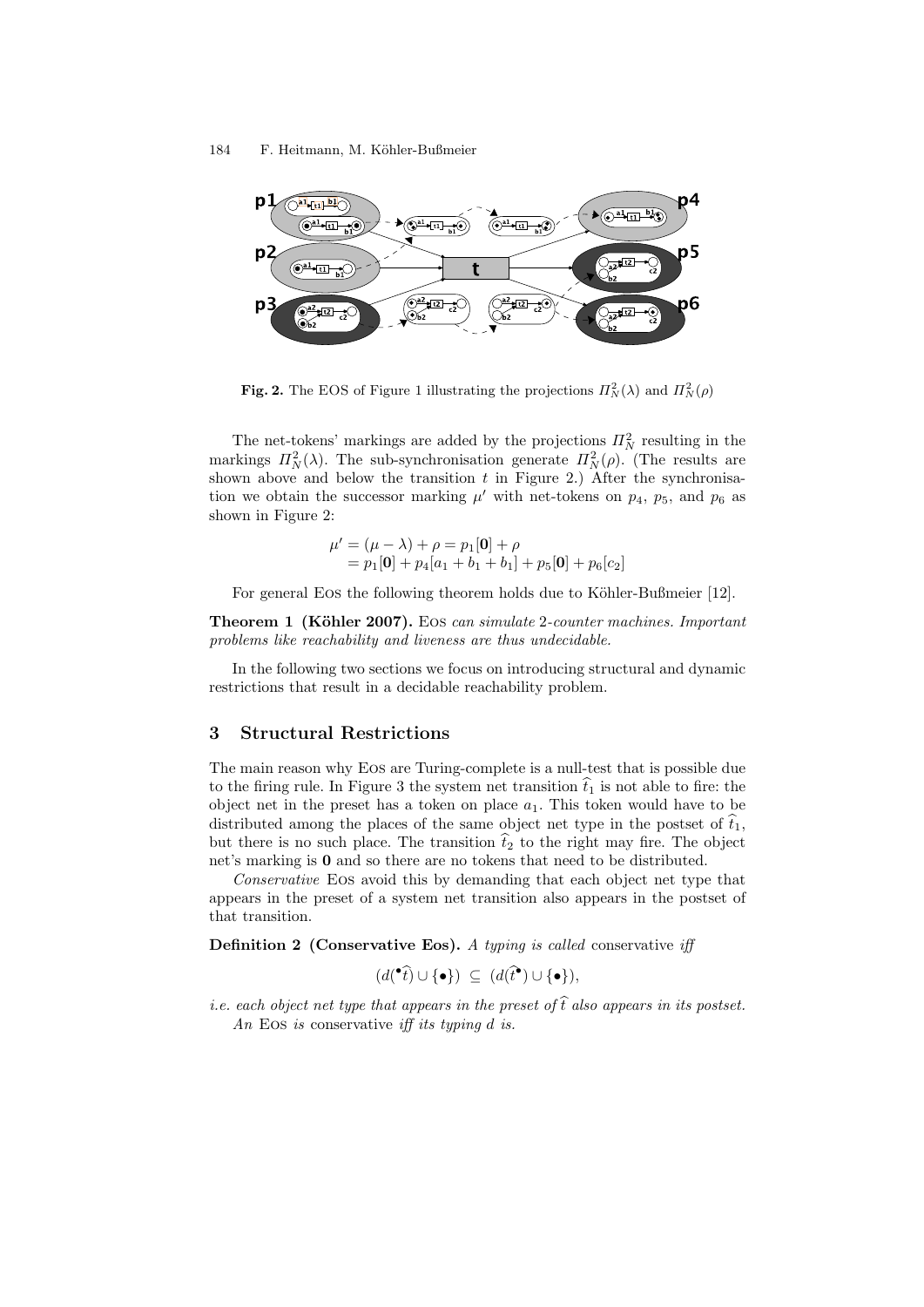

**Fig. 2.** The EOS of Figure 1 illustrating the projections  $\Pi_N^2(\lambda)$  and  $\Pi_N^2(\rho)$ 

The net-tokens' markings are added by the projections  $\Pi_N^2$  resulting in the markings  $\Pi_N^2(\lambda)$ . The sub-synchronisation generate  $\Pi_N^2(\rho)$ . (The results are shown above and below the transition  $t$  in Figure 2.) After the synchronisation we obtain the successor marking  $\mu'$  with net-tokens on  $p_4$ ,  $p_5$ , and  $p_6$  as shown in Figure 2:

$$
\mu' = (\mu - \lambda) + \rho = p_1[\mathbf{0}] + \rho = p_1[\mathbf{0}] + p_4[a_1 + b_1 + b_1] + p_5[\mathbf{0}] + p_6[c_2]
$$

For general Eos the following theorem holds due to Köhler-Bußmeier [12].

**Theorem 1 (K¨ohler 2007).** Eos *can simulate* 2*-counter machines. Important problems like reachability and liveness are thus undecidable.*

In the following two sections we focus on introducing structural and dynamic restrictions that result in a decidable reachability problem.

## **3 Structural Restrictions**

The main reason why Eos are Turing-complete is a null-test that is possible due to the firing rule. In Figure 3 the system net transition  $\hat{t}_1$  is not able to fire: the object net in the preset has a token on place  $a_1$ . This token would have to be distributed among the places of the same object net type in the postset of  $\hat{t}_1$ , but there is no such place. The transition  $\hat{t}_2$  to the right may fire. The object net's marking is **0** and so there are no tokens that need to be distributed.

*Conservative* Eos avoid this by demanding that each object net type that appears in the preset of a system net transition also appears in the postset of that transition.

**Definition 2 (Conservative Eos).** *A typing is called* conservative *iff*

$$
(d(\bullet \hat{t}) \cup \{ \bullet \}) \subseteq (d(\hat{t}^{\bullet}) \cup \{ \bullet \}),
$$

*i.e. each object net type that appears in the preset of*  $\hat{t}$  *also appears in its postset. An* Eos *is* conservative *iff its typing d is.*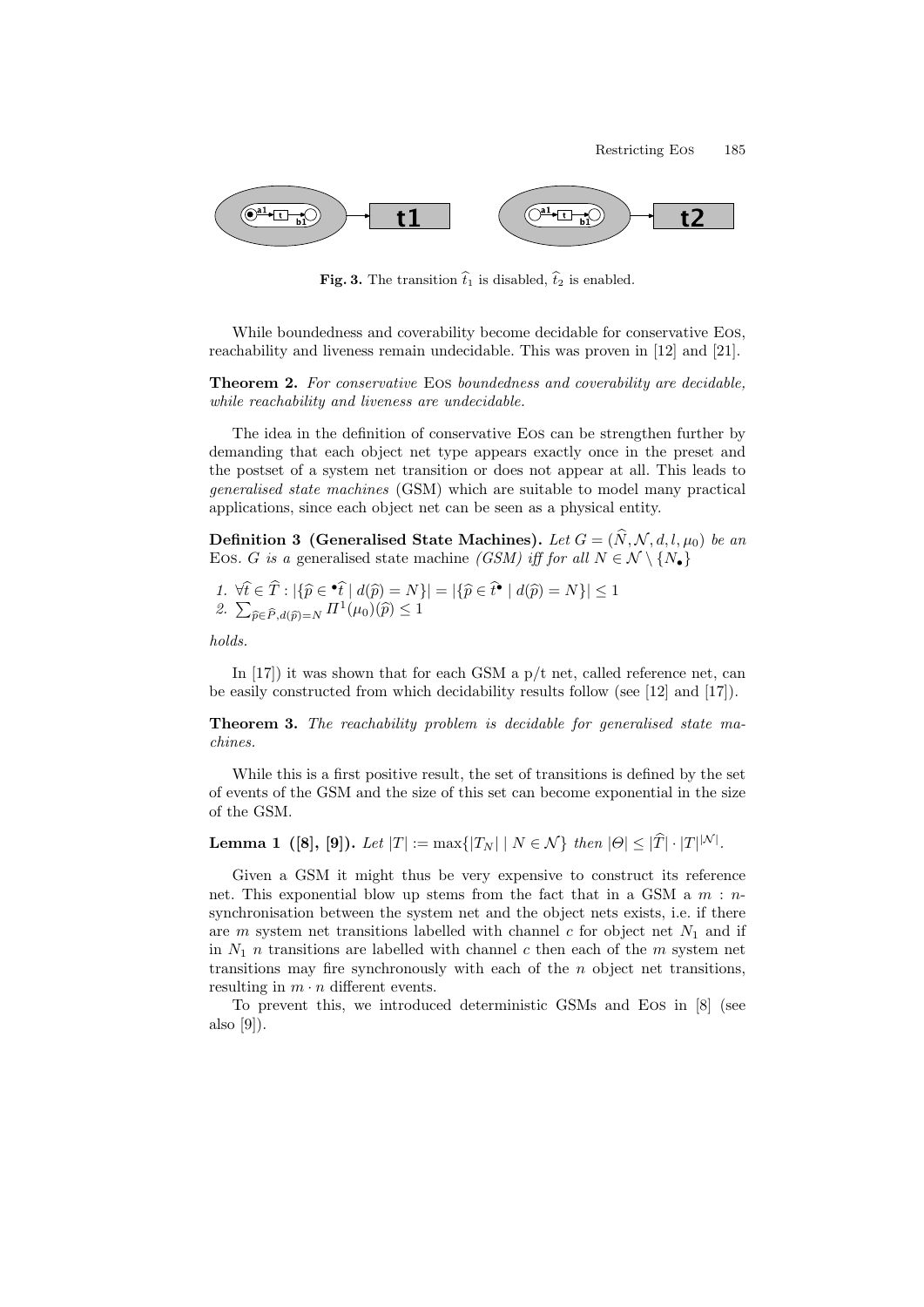

**Fig. 3.** The transition  $\hat{t}_1$  is disabled,  $\hat{t}_2$  is enabled.

While boundedness and coverability become decidable for conservative Eos, reachability and liveness remain undecidable. This was proven in [12] and [21].

**Theorem 2.** *For conservative* Eos *boundedness and coverability are decidable, while reachability and liveness are undecidable.*

The idea in the definition of conservative Eos can be strengthen further by demanding that each object net type appears exactly once in the preset and the postset of a system net transition or does not appear at all. This leads to *generalised state machines* (GSM) which are suitable to model many practical applications, since each object net can be seen as a physical entity.

**Definition 3** (Generalised State Machines). Let  $G = (\hat{N}, \mathcal{N}, d, l, \mu_0)$  be an EOS. *G is a* generalised state machine *(GSM) iff for all*  $N \in \mathcal{N} \setminus \{N_{\bullet}\}\$ 

1. 
$$
\forall \hat{t} \in T : |\{\hat{p} \in \hat{\bullet} \hat{t} | d(\hat{p}) = N\}| = |\{\hat{p} \in \hat{t} \bullet | d(\hat{p}) = N\}| \le 1
$$
  
2.  $\sum_{\hat{p} \in \hat{P}, d(\hat{p}) = N} \Pi^1(\mu_0)(\hat{p}) \le 1$ 

*holds.*

 $\mathbb{Z}$ 

In  $[17]$ ) it was shown that for each GSM a  $p/t$  net, called reference net, can be easily constructed from which decidability results follow (see [12] and [17]).

**Theorem 3.** *The reachability problem is decidable for generalised state machines.*

While this is a first positive result, the set of transitions is defined by the set of events of the GSM and the size of this set can become exponential in the size of the GSM.

**Lemma 1** ([8], [9]). Let  $|T| := max\{|T_N| | N \in \mathcal{N}\}\$  then  $|\Theta| \leq |T| \cdot |T|^{|N|}$ .

Given a GSM it might thus be very expensive to construct its reference net. This exponential blow up stems from the fact that in a GSM a *m* : *n*synchronisation between the system net and the object nets exists, i.e. if there are *m* system net transitions labelled with channel *c* for object net  $N_1$  and if in  $N_1$  *n* transitions are labelled with channel *c* then each of the *m* system net transitions may fire synchronously with each of the *n* object net transitions, resulting in  $m \cdot n$  different events.

To prevent this, we introduced deterministic GSMs and Eos in [8] (see also [9]).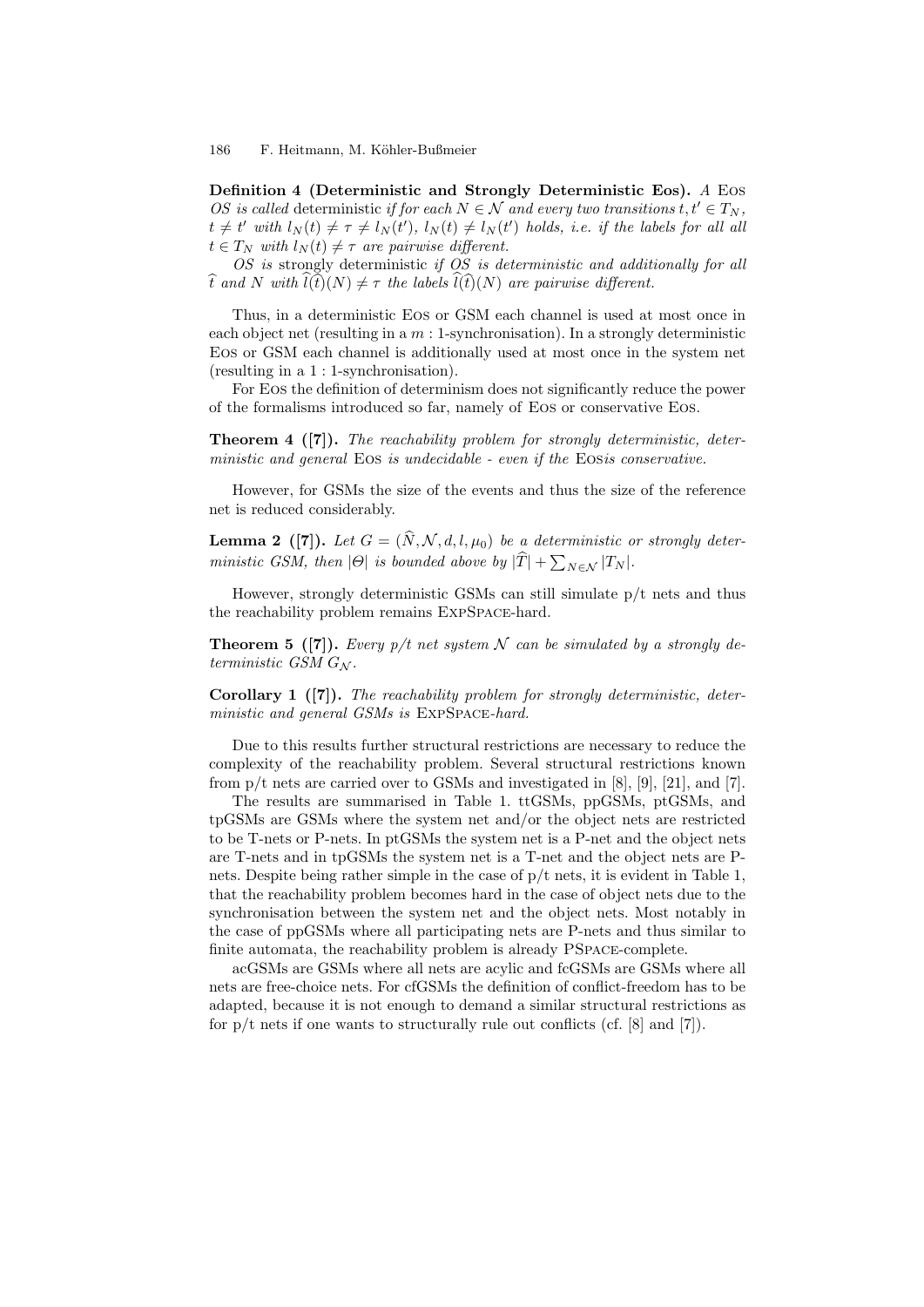**Definition 4 (Deterministic and Strongly Deterministic Eos).** *A* Eos *OS* is called deterministic *if for each*  $N \in \mathcal{N}$  *and every two transitions*  $t, t' \in T_N$ ,  $t \neq t'$  with  $l_N(t) \neq \tau \neq l_N(t'),$   $l_N(t) \neq l_N(t')$  holds, i.e. if the labels for all all  $t \in T_N$  *with*  $l_N(t) \neq \tau$  *are pairwise different.* 

*OS is* strongly deterministic *if OS is deterministic and additionally for all*  $\hat{t}$  *and*  $N$  *with*  $\hat{l}(\hat{t})(N) \neq \tau$  *the labels*  $\hat{l}(\hat{t})(N)$  *are pairwise different.* 

Thus, in a deterministic Eos or GSM each channel is used at most once in each object net (resulting in a *m* : 1-synchronisation). In a strongly deterministic Eos or GSM each channel is additionally used at most once in the system net (resulting in a 1 : 1-synchronisation).

For Eos the definition of determinism does not significantly reduce the power of the formalisms introduced so far, namely of Eos or conservative Eos.

**Theorem 4 ([7]).** *The reachability problem for strongly deterministic, deterministic and general* Eos *is undecidable - even if the* Eos*is conservative.*

However, for GSMs the size of the events and thus the size of the reference net is reduced considerably.

**Lemma 2** ([7]). Let  $G = (\hat{N}, \mathcal{N}, d, l, \mu_0)$  be a deterministic or strongly deter*ministic GSM, then*  $|\Theta|$  *is bounded above by*  $|\widehat{T}| + \sum_{N \in \mathcal{N}} |T_N|$ *.* 

However, strongly deterministic GSMs can still simulate p/t nets and thus the reachability problem remains ExpSpace-hard.

**Theorem 5** ([7]). *Every p/t net system*  $N$  *can be simulated by a strongly deterministic GSM G<sup>N</sup> .*

**Corollary 1 ([7]).** *The reachability problem for strongly deterministic, deterministic and general GSMs is* ExpSpace*-hard.*

Due to this results further structural restrictions are necessary to reduce the complexity of the reachability problem. Several structural restrictions known from  $p/t$  nets are carried over to GSMs and investigated in [8], [9], [21], and [7].

The results are summarised in Table 1. ttGSMs, ppGSMs, ptGSMs, and tpGSMs are GSMs where the system net and/or the object nets are restricted to be T-nets or P-nets. In ptGSMs the system net is a P-net and the object nets are T-nets and in tpGSMs the system net is a T-net and the object nets are Pnets. Despite being rather simple in the case of p/t nets, it is evident in Table 1, that the reachability problem becomes hard in the case of object nets due to the synchronisation between the system net and the object nets. Most notably in the case of ppGSMs where all participating nets are P-nets and thus similar to finite automata, the reachability problem is already PSpace-complete.

acGSMs are GSMs where all nets are acylic and fcGSMs are GSMs where all nets are free-choice nets. For cfGSMs the definition of conflict-freedom has to be adapted, because it is not enough to demand a similar structural restrictions as for  $p/t$  nets if one wants to structurally rule out conflicts (cf. [8] and [7]).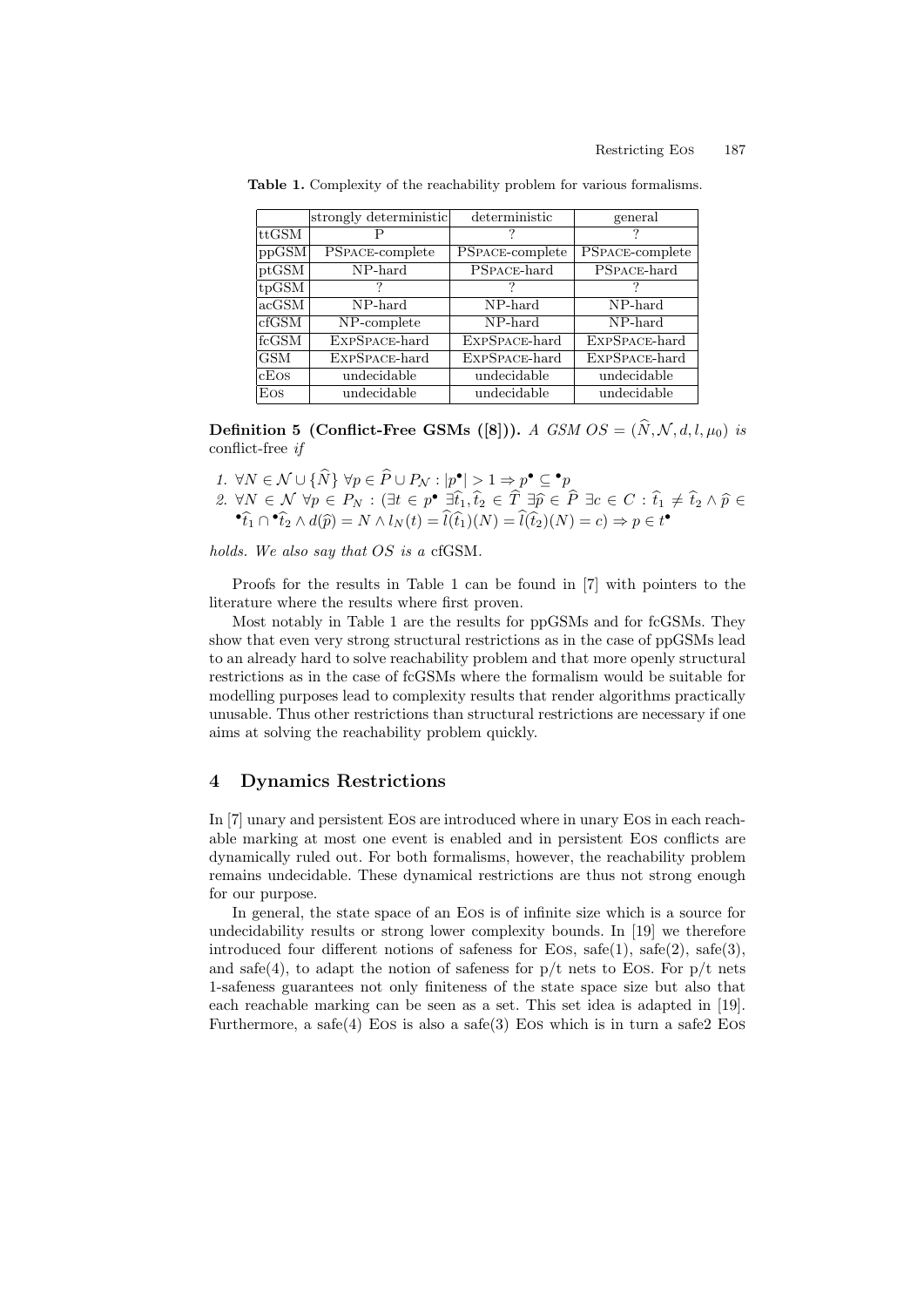|                 | strongly deterministic | deterministic          | general                |
|-----------------|------------------------|------------------------|------------------------|
| $\rm{lttGSM}$   |                        |                        |                        |
| ppGSM           | <b>PSPACE-complete</b> | <b>PSPACE-complete</b> | <b>PSPACE-complete</b> |
| $\vert$ ptGSM   | $NP$ -hard             | PSPACE-hard            | PSPACE-hard            |
| $_{\rm tpGSM}$  |                        |                        |                        |
| $ {\rm acGSM} $ | NP-hard                | NP-hard                | NP-hard                |
| $_{\rm clGSM}$  | NP-complete            | NP-hard                | NP-hard                |
| lfcGSM          | EXPSPACE-hard          | EXPSPACE-hard          | EXPSPACE-hard          |
| <b>GSM</b>      | EXPSPACE-hard          | EXPSPACE-hard          | EXPSPACE-hard          |
| cEos            | undecidable            | undecidable            | undecidable            |
| Eos             | undecidable            | undecidable            | undecidable            |

**Table 1.** Complexity of the reachability problem for various formalisms.

**Definition 5** (Conflict-Free GSMs ([8])). *A GSM*  $OS = (\hat{N}, \mathcal{N}, d, l, \mu_0)$  *is* conflict-free *if*

1. 
$$
\forall N \in \mathcal{N} \cup {\hat{N}} \ \forall p \in \hat{P} \cup P_N : |p^{\bullet}| > 1 \Rightarrow p^{\bullet} \subseteq {}^{\bullet}p
$$
  
\n2.  $\forall N \in \mathcal{N} \ \forall p \in P_N : (\exists t \in p^{\bullet} \ \exists \hat{t}_1, \hat{t}_2 \in \hat{T} \ \exists \hat{p} \in \hat{P} \ \exists c \in C : \hat{t}_1 \neq \hat{t}_2 \land \hat{p} \in {}^{\bullet} \hat{t}_1 \cap {}^{\bullet} \hat{t}_2 \land d(\hat{p}) = N \land l_N(t) = \hat{l}(\hat{t}_1)(N) = \hat{l}(\hat{t}_2)(N) = c) \Rightarrow p \in t^{\bullet}$ 

*holds. We also say that OS is a* cfGSM*.*

Proofs for the results in Table 1 can be found in [7] with pointers to the literature where the results where first proven.

Most notably in Table 1 are the results for ppGSMs and for fcGSMs. They show that even very strong structural restrictions as in the case of ppGSMs lead to an already hard to solve reachability problem and that more openly structural restrictions as in the case of fcGSMs where the formalism would be suitable for modelling purposes lead to complexity results that render algorithms practically unusable. Thus other restrictions than structural restrictions are necessary if one aims at solving the reachability problem quickly.

## **4 Dynamics Restrictions**

In [7] unary and persistent Eos are introduced where in unary Eos in each reachable marking at most one event is enabled and in persistent Eos conflicts are dynamically ruled out. For both formalisms, however, the reachability problem remains undecidable. These dynamical restrictions are thus not strong enough for our purpose.

In general, the state space of an Eos is of infinite size which is a source for undecidability results or strong lower complexity bounds. In [19] we therefore introduced four different notions of safeness for Eos,  $safe(1)$ ,  $safe(2)$ ,  $safe(3)$ , and safe(4), to adapt the notion of safeness for  $p/t$  nets to Eos. For  $p/t$  nets 1-safeness guarantees not only finiteness of the state space size but also that each reachable marking can be seen as a set. This set idea is adapted in [19]. Furthermore, a safe $(4)$  Eos is also a safe $(3)$  Eos which is in turn a safe $2$  Eos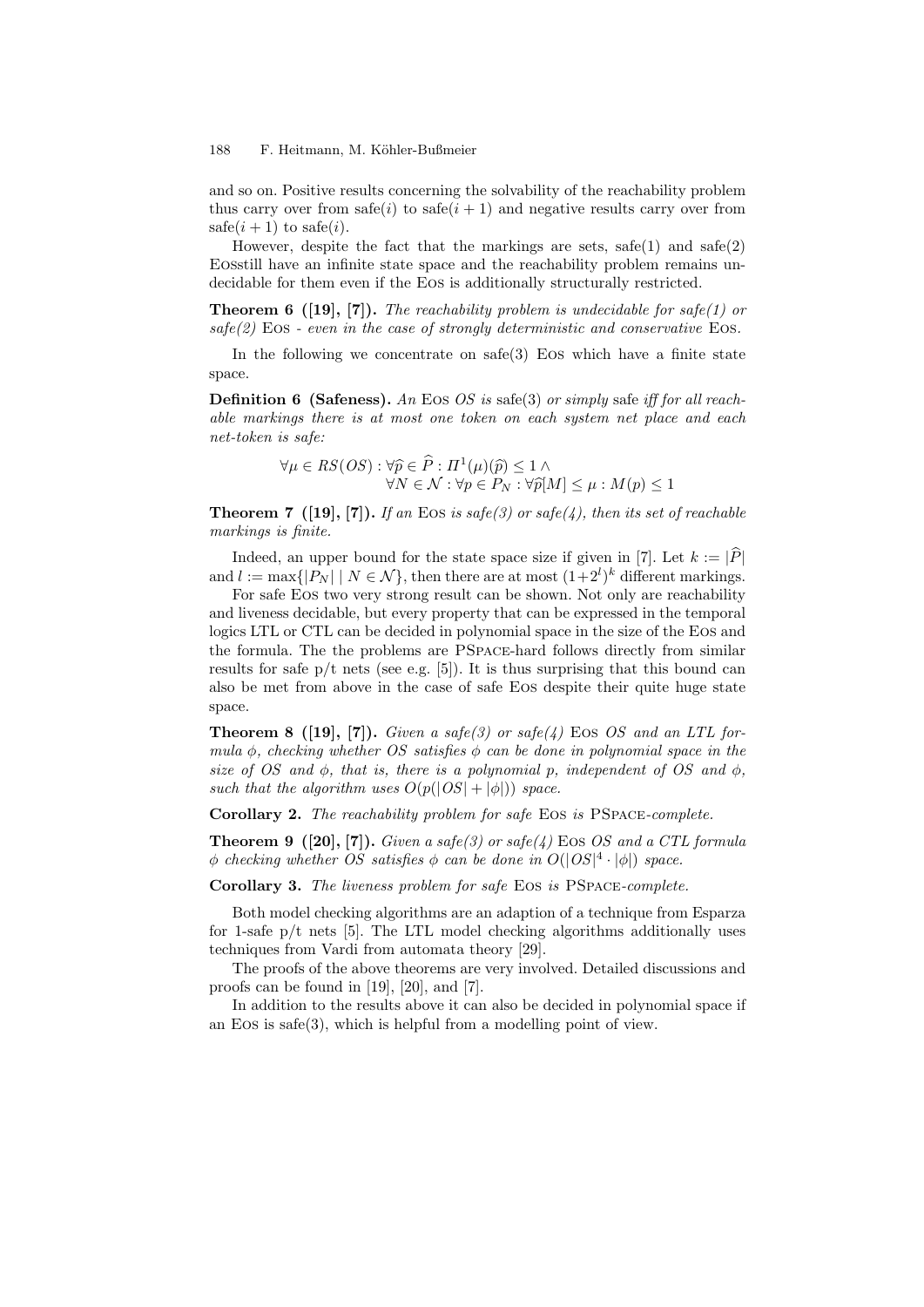and so on. Positive results concerning the solvability of the reachability problem thus carry over from  $\text{safe}(i)$  to  $\text{safe}(i+1)$  and negative results carry over from safe $(i + 1)$  to safe $(i)$ .

However, despite the fact that the markings are sets,  $\text{safe}(1)$  and  $\text{safe}(2)$ Eosstill have an infinite state space and the reachability problem remains undecidable for them even if the Eos is additionally structurally restricted.

**Theorem 6 ([19], [7]).** *The reachability problem is undecidable for safe(1) or safe(2)* Eos *- even in the case of strongly deterministic and conservative* Eos*.*

In the following we concentrate on  $\text{safe}(3)$  Eos which have a finite state space.

**Definition 6 (Safeness).** *An* Eos *OS is* safe(3) *or simply* safe *iff for all reachable markings there is at most one token on each system net place and each net-token is safe:*

$$
\forall \mu \in RS(OS) : \forall \widehat{p} \in \widehat{P} : \Pi^1(\mu)(\widehat{p}) \le 1 \land \forall N \in \mathcal{N} : \forall p \in P_N : \forall \widehat{p}[M] \le \mu : M(p) \le 1
$$

**Theorem 7** ([19], [7]). If an Eos is safe(3) or safe(4), then its set of reachable *markings is finite.*

Indeed, an upper bound for the state space size if given in [7]. Let  $k := |P|$ and  $l := \max\{|P_N| \mid N \in \mathcal{N}\}\$ , then there are at most  $(1+2^l)^k$  different markings.

For safe Eos two very strong result can be shown. Not only are reachability and liveness decidable, but every property that can be expressed in the temporal logics LTL or CTL can be decided in polynomial space in the size of the Eos and the formula. The the problems are PSpace-hard follows directly from similar results for safe  $p/t$  nets (see e.g. [5]). It is thus surprising that this bound can also be met from above in the case of safe Eos despite their quite huge state space.

**Theorem 8 ([19], [7]).** *Given a safe(3) or safe(4)* Eos *OS and an LTL formula ϕ, checking whether OS satisfies ϕ can be done in polynomial space in the size of OS and*  $\phi$ *, that is, there is a polynomial p, independent of OS and*  $\phi$ *, such that the algorithm uses*  $O(p(|OS| + |\phi|))$  *space.* 

**Corollary 2.** *The reachability problem for safe* Eos *is* PSpace*-complete.*

**Theorem 9 ([20], [7]).** *Given a safe(3) or safe(4)* Eos *OS and a CTL formula*  $\phi$  *checking whether OS satisfies*  $\phi$  *can be done in*  $O(|OS|^4 \cdot |\phi|)$  *space.* 

**Corollary 3.** *The liveness problem for safe* Eos *is* PSpace*-complete.*

Both model checking algorithms are an adaption of a technique from Esparza for 1-safe  $p/t$  nets [5]. The LTL model checking algorithms additionally uses techniques from Vardi from automata theory [29].

The proofs of the above theorems are very involved. Detailed discussions and proofs can be found in [19], [20], and [7].

In addition to the results above it can also be decided in polynomial space if an Eos is safe(3), which is helpful from a modelling point of view.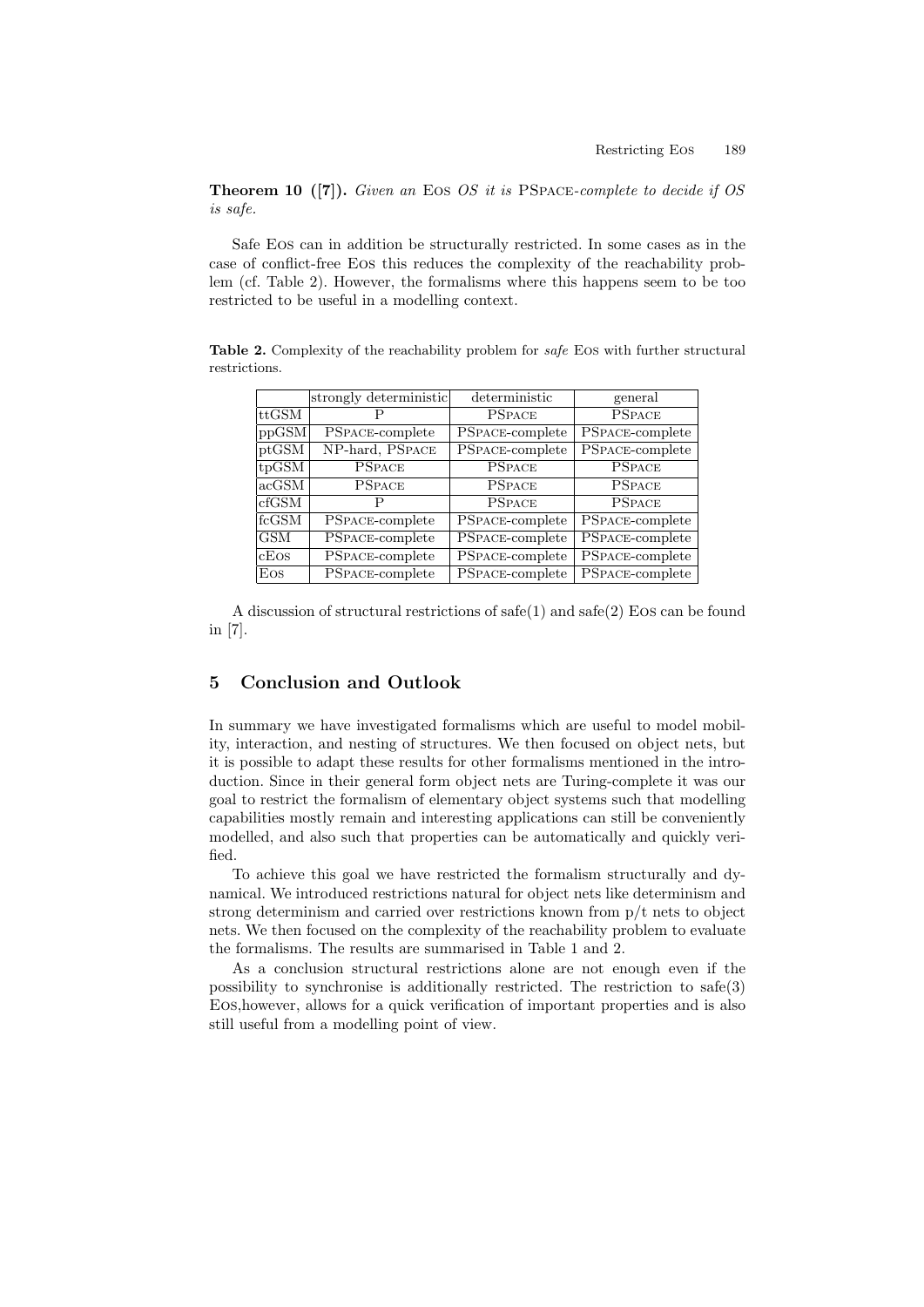**Theorem 10 ([7]).** *Given an* Eos *OS it is* PSpace*-complete to decide if OS is safe.*

Safe Eos can in addition be structurally restricted. In some cases as in the case of conflict-free Eos this reduces the complexity of the reachability problem (cf. Table 2). However, the formalisms where this happens seem to be too restricted to be useful in a modelling context.

**Table 2.** Complexity of the reachability problem for *safe* Eos with further structural restrictions.

|            | strongly deterministic | deterministic                        | general         |
|------------|------------------------|--------------------------------------|-----------------|
| ttGSM      |                        | <b>PSPACE</b>                        | <b>PSPACE</b>   |
| ppGSM      | PSPACE-complete        | $\overline{\text{PSPACE}}$ -complete | PSPACE-complete |
| ptGSM      | NP-hard, PSPACE        | PSPACE-complete                      | PSPACE-complete |
| tpGSM      | <b>PSPACE</b>          | <b>PSPACE</b>                        | <b>PSPACE</b>   |
| acGSM      | <b>PSPACE</b>          | <b>PSPACE</b>                        | <b>PSPACE</b>   |
| cfGSM      |                        | <b>PSPACE</b>                        | <b>PSPACE</b>   |
| fcGSM      | PSPACE-complete        | <b>PSPACE-complete</b>               | PSPACE-complete |
| <b>GSM</b> | PSPACE-complete        | PSPACE-complete                      | PSPACE-complete |
| cEos       | PSPACE-complete        | PSPACE-complete                      | PSPACE-complete |
| Eos        | PSPACE-complete        | <b>PSPACE-complete</b>               | PSPACE-complete |

A discussion of structural restrictions of  $\text{safe}(1)$  and  $\text{safe}(2)$  Eos can be found in [7].

## **5 Conclusion and Outlook**

In summary we have investigated formalisms which are useful to model mobility, interaction, and nesting of structures. We then focused on object nets, but it is possible to adapt these results for other formalisms mentioned in the introduction. Since in their general form object nets are Turing-complete it was our goal to restrict the formalism of elementary object systems such that modelling capabilities mostly remain and interesting applications can still be conveniently modelled, and also such that properties can be automatically and quickly verified.

To achieve this goal we have restricted the formalism structurally and dynamical. We introduced restrictions natural for object nets like determinism and strong determinism and carried over restrictions known from p/t nets to object nets. We then focused on the complexity of the reachability problem to evaluate the formalisms. The results are summarised in Table 1 and 2.

As a conclusion structural restrictions alone are not enough even if the possibility to synchronise is additionally restricted. The restriction to safe(3) Eos,however, allows for a quick verification of important properties and is also still useful from a modelling point of view.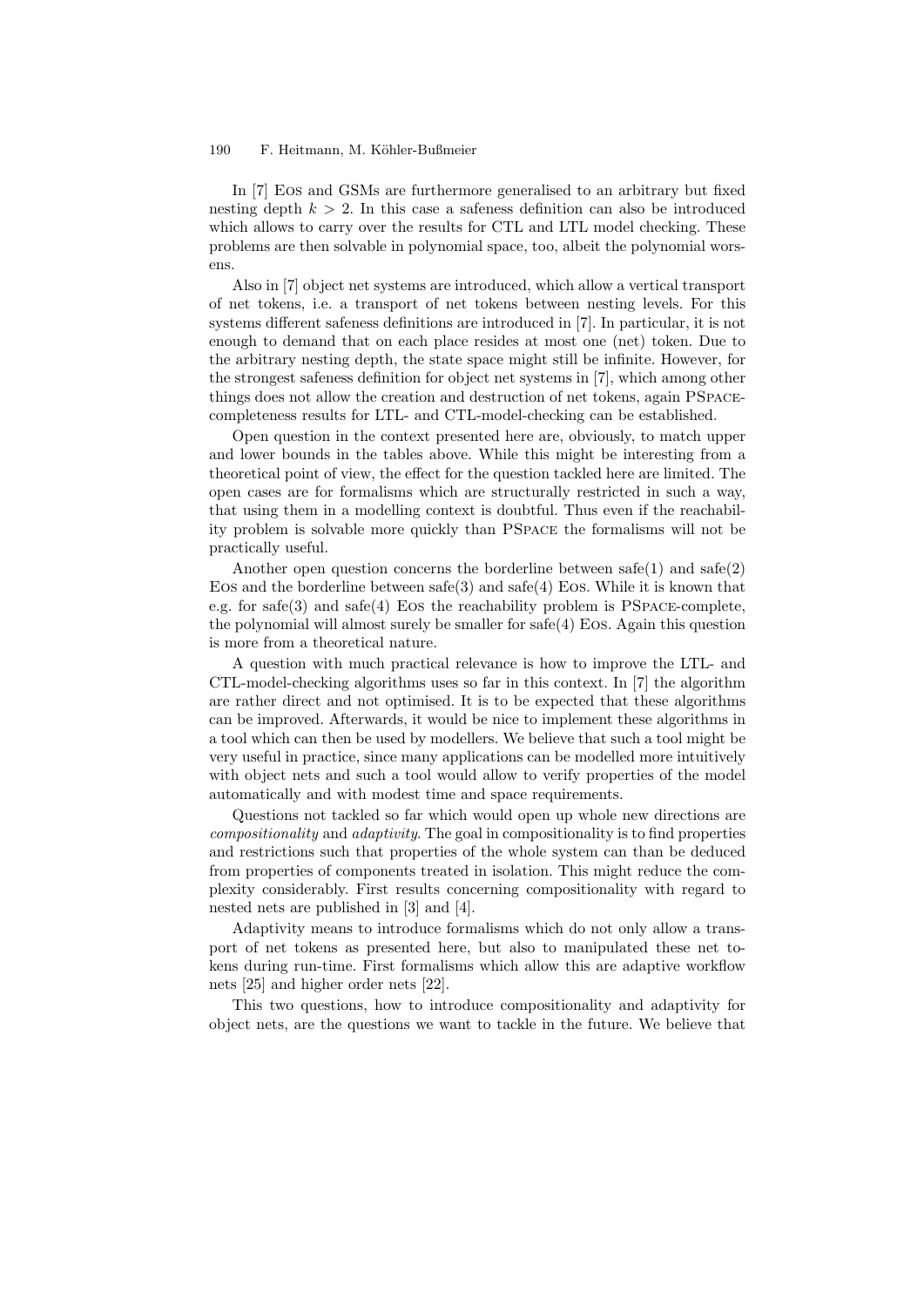In [7] Eos and GSMs are furthermore generalised to an arbitrary but fixed nesting depth  $k > 2$ . In this case a safeness definition can also be introduced which allows to carry over the results for CTL and LTL model checking. These problems are then solvable in polynomial space, too, albeit the polynomial worsens.

Also in [7] object net systems are introduced, which allow a vertical transport of net tokens, i.e. a transport of net tokens between nesting levels. For this systems different safeness definitions are introduced in [7]. In particular, it is not enough to demand that on each place resides at most one (net) token. Due to the arbitrary nesting depth, the state space might still be infinite. However, for the strongest safeness definition for object net systems in [7], which among other things does not allow the creation and destruction of net tokens, again PSpacecompleteness results for LTL- and CTL-model-checking can be established.

Open question in the context presented here are, obviously, to match upper and lower bounds in the tables above. While this might be interesting from a theoretical point of view, the effect for the question tackled here are limited. The open cases are for formalisms which are structurally restricted in such a way, that using them in a modelling context is doubtful. Thus even if the reachability problem is solvable more quickly than PSpace the formalisms will not be practically useful.

Another open question concerns the borderline between  $\text{safe}(1)$  and  $\text{safe}(2)$ Eos and the borderline between  $\text{safe}(3)$  and  $\text{safe}(4)$  Eos. While it is known that e.g. for safe(3) and safe(4) Eos the reachability problem is PSPACE-complete, the polynomial will almost surely be smaller for safe(4) Eos. Again this question is more from a theoretical nature.

A question with much practical relevance is how to improve the LTL- and CTL-model-checking algorithms uses so far in this context. In [7] the algorithm are rather direct and not optimised. It is to be expected that these algorithms can be improved. Afterwards, it would be nice to implement these algorithms in a tool which can then be used by modellers. We believe that such a tool might be very useful in practice, since many applications can be modelled more intuitively with object nets and such a tool would allow to verify properties of the model automatically and with modest time and space requirements.

Questions not tackled so far which would open up whole new directions are *compositionality* and *adaptivity*. The goal in compositionality is to find properties and restrictions such that properties of the whole system can than be deduced from properties of components treated in isolation. This might reduce the complexity considerably. First results concerning compositionality with regard to nested nets are published in [3] and [4].

Adaptivity means to introduce formalisms which do not only allow a transport of net tokens as presented here, but also to manipulated these net tokens during run-time. First formalisms which allow this are adaptive workflow nets [25] and higher order nets [22].

This two questions, how to introduce compositionality and adaptivity for object nets, are the questions we want to tackle in the future. We believe that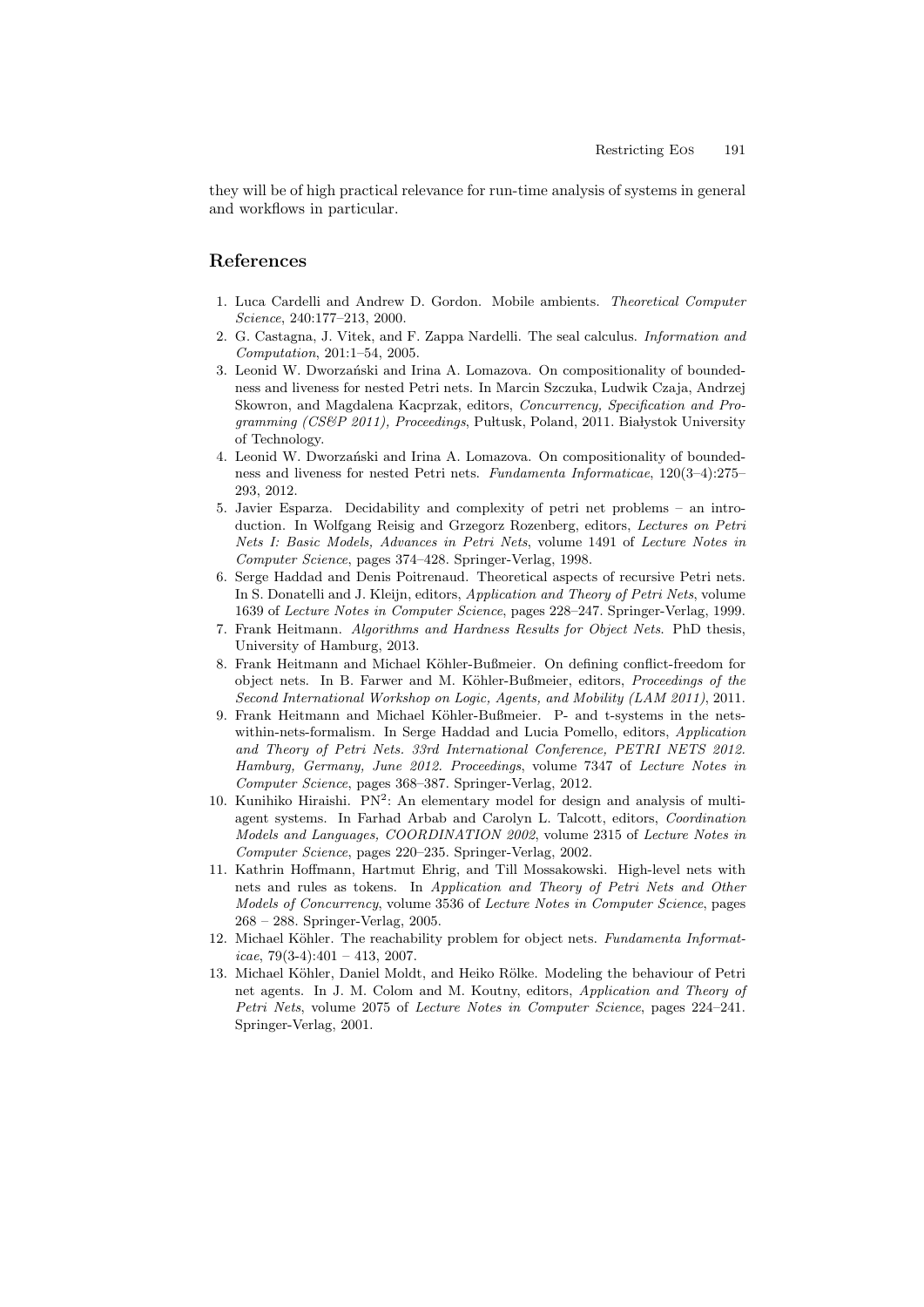they will be of high practical relevance for run-time analysis of systems in general and workflows in particular.

# **References**

- 1. Luca Cardelli and Andrew D. Gordon. Mobile ambients. *Theoretical Computer Science*, 240:177–213, 2000.
- 2. G. Castagna, J. Vitek, and F. Zappa Nardelli. The seal calculus. *Information and Computation*, 201:1–54, 2005.
- 3. Leonid W. Dworzański and Irina A. Lomazova. On compositionality of boundedness and liveness for nested Petri nets. In Marcin Szczuka, Ludwik Czaja, Andrzej Skowron, and Magdalena Kacprzak, editors, *Concurrency, Specification and Programming (CS&P 2011), Proceedings, Pultusk, Poland, 2011. Białystok University* of Technology.
- 4. Leonid W. Dworzański and Irina A. Lomazova. On compositionality of boundedness and liveness for nested Petri nets. *Fundamenta Informaticae*, 120(3–4):275– 293, 2012.
- 5. Javier Esparza. Decidability and complexity of petri net problems an introduction. In Wolfgang Reisig and Grzegorz Rozenberg, editors, *Lectures on Petri Nets I: Basic Models, Advances in Petri Nets*, volume 1491 of *Lecture Notes in Computer Science*, pages 374–428. Springer-Verlag, 1998.
- 6. Serge Haddad and Denis Poitrenaud. Theoretical aspects of recursive Petri nets. In S. Donatelli and J. Kleijn, editors, *Application and Theory of Petri Nets*, volume 1639 of *Lecture Notes in Computer Science*, pages 228–247. Springer-Verlag, 1999.
- 7. Frank Heitmann. *Algorithms and Hardness Results for Object Nets*. PhD thesis, University of Hamburg, 2013.
- 8. Frank Heitmann and Michael Köhler-Bußmeier. On defining conflict-freedom for object nets. In B. Farwer and M. K¨ohler-Bußmeier, editors, *Proceedings of the Second International Workshop on Logic, Agents, and Mobility (LAM 2011)*, 2011.
- 9. Frank Heitmann and Michael Köhler-Bußmeier. P- and t-systems in the netswithin-nets-formalism. In Serge Haddad and Lucia Pomello, editors, *Application and Theory of Petri Nets. 33rd International Conference, PETRI NETS 2012. Hamburg, Germany, June 2012. Proceedings*, volume 7347 of *Lecture Notes in Computer Science*, pages 368–387. Springer-Verlag, 2012.
- 10. Kunihiko Hiraishi.  $PN^2$ : An elementary model for design and analysis of multiagent systems. In Farhad Arbab and Carolyn L. Talcott, editors, *Coordination Models and Languages, COORDINATION 2002*, volume 2315 of *Lecture Notes in Computer Science*, pages 220–235. Springer-Verlag, 2002.
- 11. Kathrin Hoffmann, Hartmut Ehrig, and Till Mossakowski. High-level nets with nets and rules as tokens. In *Application and Theory of Petri Nets and Other Models of Concurrency*, volume 3536 of *Lecture Notes in Computer Science*, pages 268 – 288. Springer-Verlag, 2005.
- 12. Michael Köhler. The reachability problem for object nets. *Fundamenta Informaticae*, 79(3-4):401 – 413, 2007.
- 13. Michael Köhler, Daniel Moldt, and Heiko Rölke. Modeling the behaviour of Petri net agents. In J. M. Colom and M. Koutny, editors, *Application and Theory of Petri Nets*, volume 2075 of *Lecture Notes in Computer Science*, pages 224–241. Springer-Verlag, 2001.